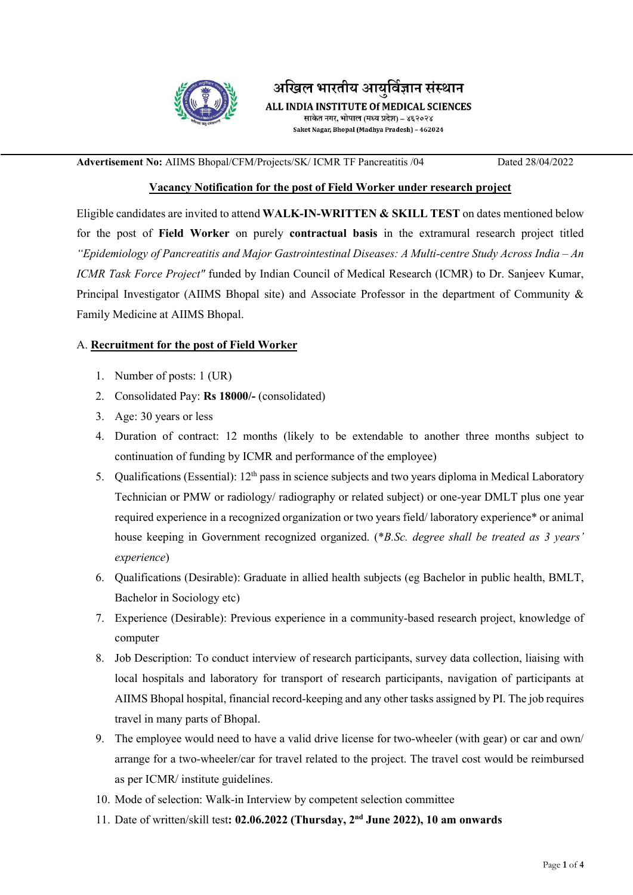

## अखिल भारतीय आयुर्विज्ञान संस्थान

**ALL INDIA INS** TUTE Of MEDICAL SCIENCES साकेत नगर, भोपाल (मध्य प्रदेश) – ४६२०२४ Saket Nagar, Bhopal (Madhya Pradesh) - 462024

Advertisement No: AIIMS Bhopal/CFM/Projects/SK/ ICMR TF Pancreatitis /04 Dated 28/04/2022

## Vacancy Notification for the post of Field Worker under research project

Eligible candidates are invited to attend WALK-IN-WRITTEN & SKILL TEST on dates mentioned below for the post of Field Worker on purely contractual basis in the extramural research project titled "Epidemiology of Pancreatitis and Major Gastrointestinal Diseases: A Multi-centre Study Across India – An ICMR Task Force Project" funded by Indian Council of Medical Research (ICMR) to Dr. Sanjeev Kumar, Principal Investigator (AIIMS Bhopal site) and Associate Professor in the department of Community & Family Medicine at AIIMS Bhopal.

## A. Recruitment for the post of Field Worker

- 1. Number of posts: 1 (UR)
- 2. Consolidated Pay: Rs 18000/- (consolidated)
- 3. Age: 30 years or less
- 4. Duration of contract: 12 months (likely to be extendable to another three months subject to continuation of funding by ICMR and performance of the employee)
- 5. Qualifications (Essential):  $12<sup>th</sup>$  pass in science subjects and two years diploma in Medical Laboratory Technician or PMW or radiology/ radiography or related subject) or one-year DMLT plus one year required experience in a recognized organization or two years field/ laboratory experience\* or animal house keeping in Government recognized organized. (\*B.Sc. degree shall be treated as 3 years' experience)
- 6. Qualifications (Desirable): Graduate in allied health subjects (eg Bachelor in public health, BMLT, Bachelor in Sociology etc)
- 7. Experience (Desirable): Previous experience in a community-based research project, knowledge of computer
- 8. Job Description: To conduct interview of research participants, survey data collection, liaising with local hospitals and laboratory for transport of research participants, navigation of participants at AIIMS Bhopal hospital, financial record-keeping and any other tasks assigned by PI. The job requires travel in many parts of Bhopal.
- 9. The employee would need to have a valid drive license for two-wheeler (with gear) or car and own/ arrange for a two-wheeler/car for travel related to the project. The travel cost would be reimbursed as per ICMR/ institute guidelines.
- 10. Mode of selection: Walk-in Interview by competent selection committee
- 11. Date of written/skill test: 02.06.2022 (Thursday, 2nd June 2022), 10 am onwards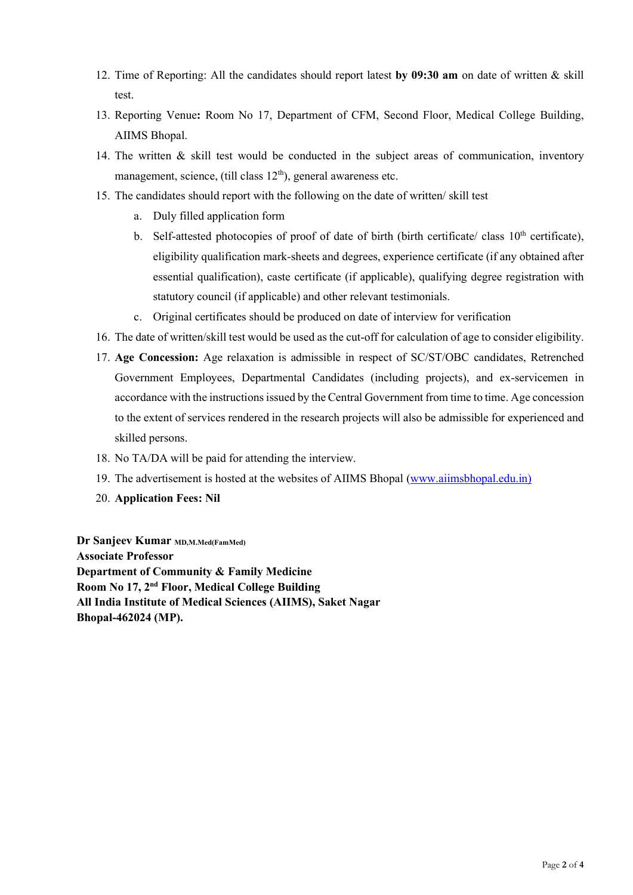- 12. Time of Reporting: All the candidates should report latest by 09:30 am on date of written & skill test.
- 13. Reporting Venue: Room No 17, Department of CFM, Second Floor, Medical College Building, AIIMS Bhopal.
- 14. The written & skill test would be conducted in the subject areas of communication, inventory management, science, (till class  $12<sup>th</sup>$ ), general awareness etc.
- 15. The candidates should report with the following on the date of written/ skill test
	- a. Duly filled application form
	- b. Self-attested photocopies of proof of date of birth (birth certificate/ class  $10<sup>th</sup>$  certificate), eligibility qualification mark-sheets and degrees, experience certificate (if any obtained after essential qualification), caste certificate (if applicable), qualifying degree registration with statutory council (if applicable) and other relevant testimonials.
	- c. Original certificates should be produced on date of interview for verification
- 16. The date of written/skill test would be used as the cut-off for calculation of age to consider eligibility.
- 17. Age Concession: Age relaxation is admissible in respect of SC/ST/OBC candidates, Retrenched Government Employees, Departmental Candidates (including projects), and ex-servicemen in accordance with the instructions issued by the Central Government from time to time. Age concession to the extent of services rendered in the research projects will also be admissible for experienced and skilled persons.
- 18. No TA/DA will be paid for attending the interview.
- 19. The advertisement is hosted at the websites of AIIMS Bhopal (www.aiimsbhopal.edu.in)
- 20. Application Fees: Nil

Dr Sanjeev Kumar MD,M.Med(FamMed) Associate Professor Department of Community & Family Medicine Room No 17, 2nd Floor, Medical College Building All India Institute of Medical Sciences (AIIMS), Saket Nagar Bhopal-462024 (MP).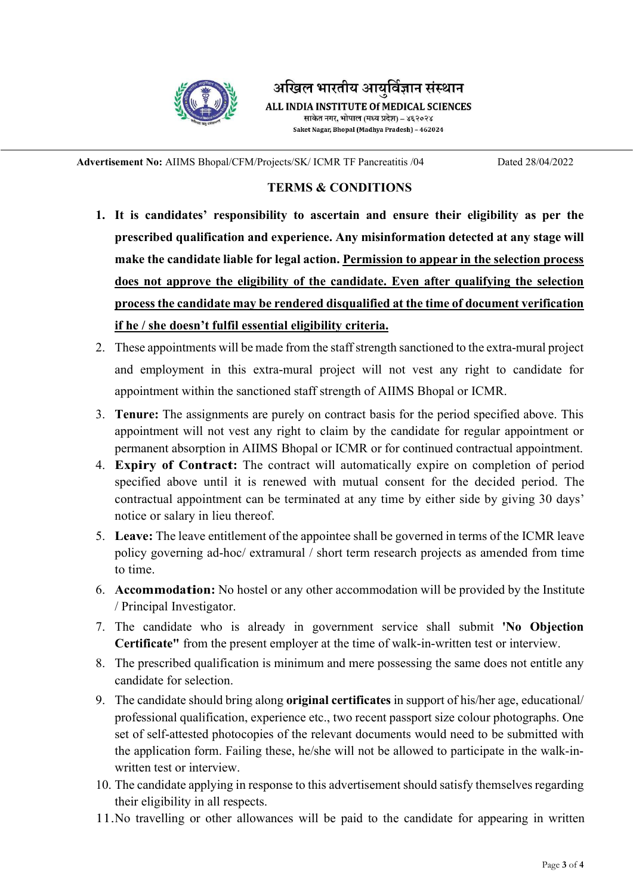

अखिल भारतीय आयुर्विज्ञान संस्थान ALL INDIA INSTITUTE Of MEDICAL SCIENCES

साकेत नगर, भोपाल (मध्य प्रदेश) – ४६२०२४ Saket Nagar, Bhopal (Madhya Pradesh) - 462024

Advertisement No: AIIMS Bhopal/CFM/Projects/SK/ ICMR TF Pancreatitis /04 Dated 28/04/2022

## TERMS & CONDITIONS

- 1. It is candidates' responsibility to ascertain and ensure their eligibility as per the prescribed qualification and experience. Any misinformation detected at any stage will make the candidate liable for legal action. Permission to appear in the selection process does not approve the eligibility of the candidate. Even after qualifying the selection process the candidate may be rendered disqualified at the time of document verification if he / she doesn't fulfil essential eligibility criteria.
- 2. These appointments will be made from the staff strength sanctioned to the extra-mural project and employment in this extra-mural project will not vest any right to candidate for appointment within the sanctioned staff strength of AIIMS Bhopal or ICMR.
- 3. Tenure: The assignments are purely on contract basis for the period specified above. This appointment will not vest any right to claim by the candidate for regular appointment or permanent absorption in AIIMS Bhopal or ICMR or for continued contractual appointment.
- 4. Expiry of Contract: The contract will automatically expire on completion of period specified above until it is renewed with mutual consent for the decided period. The contractual appointment can be terminated at any time by either side by giving 30 days' notice or salary in lieu thereof.
- 5. Leave: The leave entitlement of the appointee shall be governed in terms of the ICMR leave policy governing ad-hoc/ extramural / short term research projects as amended from time to time.
- 6. Accommodation: No hostel or any other accommodation will be provided by the Institute / Principal Investigator.
- 7. The candidate who is already in government service shall submit 'No Objection Certificate" from the present employer at the time of walk-in-written test or interview.
- 8. The prescribed qualification is minimum and mere possessing the same does not entitle any candidate for selection.
- 9. The candidate should bring along original certificates in support of his/her age, educational/ professional qualification, experience etc., two recent passport size colour photographs. One set of self-attested photocopies of the relevant documents would need to be submitted with the application form. Failing these, he/she will not be allowed to participate in the walk-inwritten test or interview.
- 10. The candidate applying in response to this advertisement should satisfy themselves regarding their eligibility in all respects.
- 11.No travelling or other allowances will be paid to the candidate for appearing in written